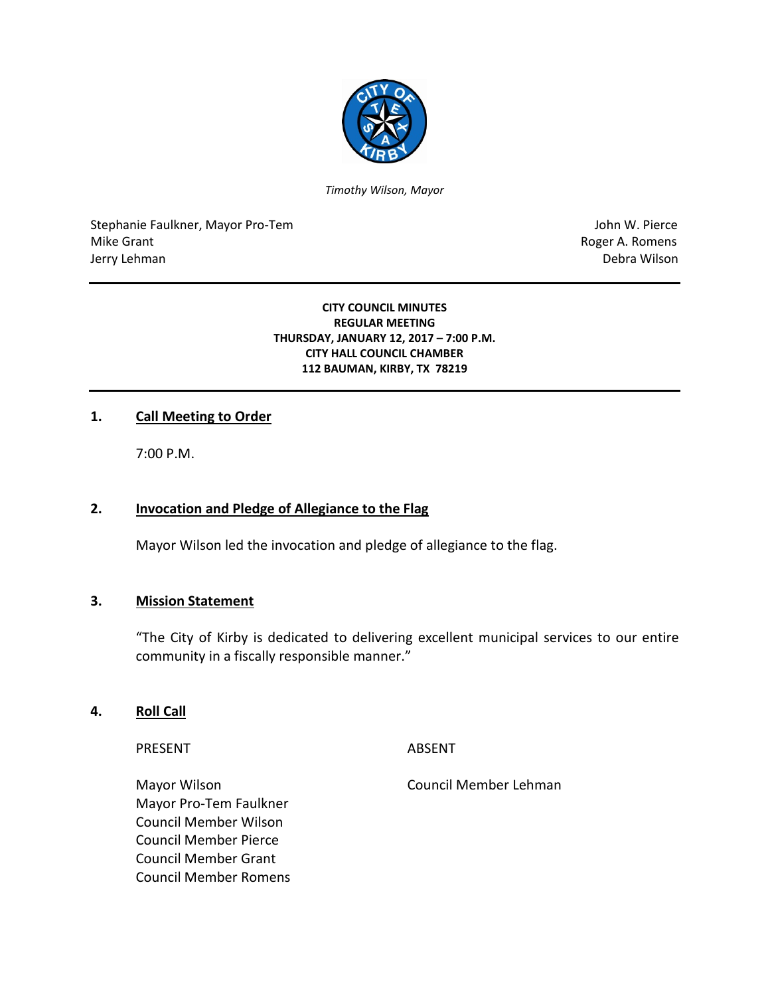

*Timothy Wilson, Mayor*

Stephanie Faulkner, Mayor Pro-Tem John W. Pierce Mike Grant **Roger A. Romens** Jerry Lehman Debra Wilson

### **CITY COUNCIL MINUTES REGULAR MEETING THURSDAY, JANUARY 12, 2017 – 7:00 P.M. CITY HALL COUNCIL CHAMBER 112 BAUMAN, KIRBY, TX 78219**

## **1. Call Meeting to Order**

7:00 P.M.

# **2. Invocation and Pledge of Allegiance to the Flag**

Mayor Wilson led the invocation and pledge of allegiance to the flag.

## **3. Mission Statement**

"The City of Kirby is dedicated to delivering excellent municipal services to our entire community in a fiscally responsible manner."

### **4. Roll Call**

PRESENT ABSENT

Mayor Wilson Council Member Lehman Mayor Pro-Tem Faulkner Council Member Wilson Council Member Pierce Council Member Grant Council Member Romens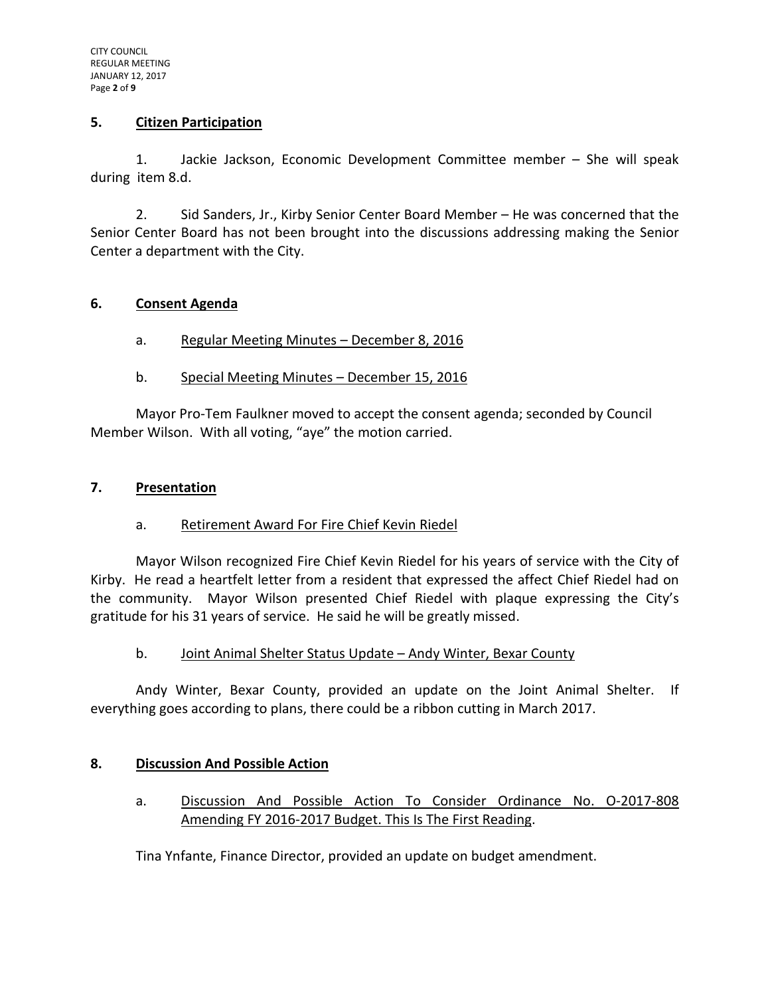## **5. Citizen Participation**

1. Jackie Jackson, Economic Development Committee member – She will speak during item 8.d.

2. Sid Sanders, Jr., Kirby Senior Center Board Member – He was concerned that the Senior Center Board has not been brought into the discussions addressing making the Senior Center a department with the City.

## **6. Consent Agenda**

- a. Regular Meeting Minutes December 8, 2016
- b. Special Meeting Minutes December 15, 2016

Mayor Pro-Tem Faulkner moved to accept the consent agenda; seconded by Council Member Wilson. With all voting, "aye" the motion carried.

## **7. Presentation**

# a. Retirement Award For Fire Chief Kevin Riedel

Mayor Wilson recognized Fire Chief Kevin Riedel for his years of service with the City of Kirby. He read a heartfelt letter from a resident that expressed the affect Chief Riedel had on the community. Mayor Wilson presented Chief Riedel with plaque expressing the City's gratitude for his 31 years of service. He said he will be greatly missed.

b. Joint Animal Shelter Status Update – Andy Winter, Bexar County

Andy Winter, Bexar County, provided an update on the Joint Animal Shelter. If everything goes according to plans, there could be a ribbon cutting in March 2017.

# **8. Discussion And Possible Action**

a. Discussion And Possible Action To Consider Ordinance No. O-2017-808 Amending FY 2016-2017 Budget. This Is The First Reading.

Tina Ynfante, Finance Director, provided an update on budget amendment.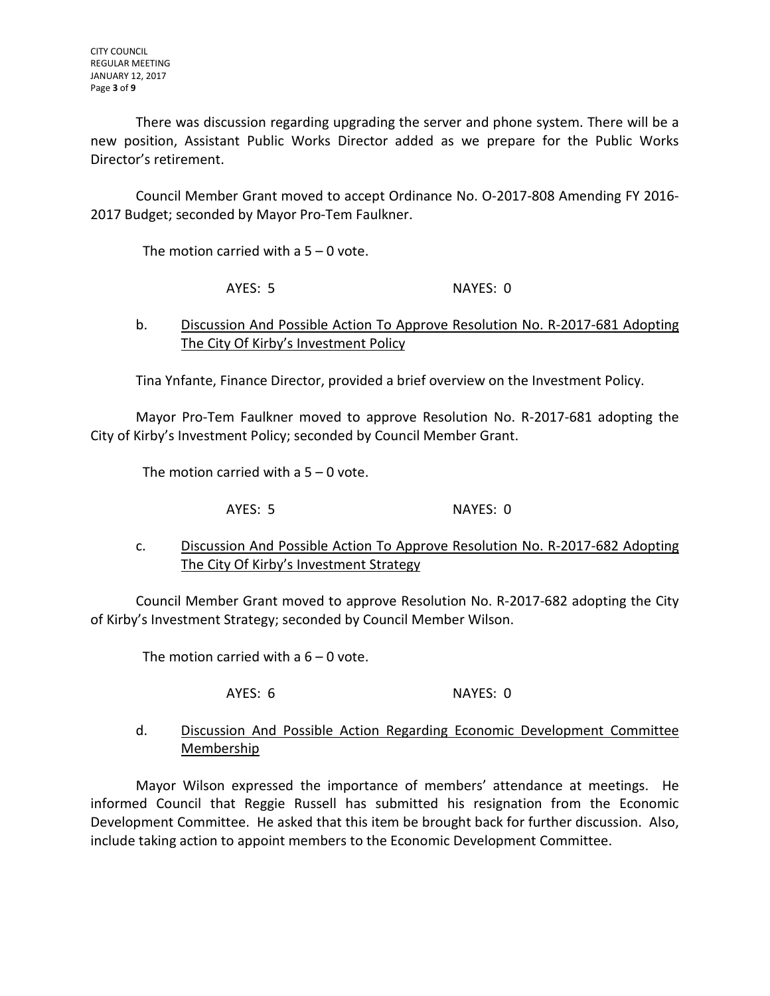There was discussion regarding upgrading the server and phone system. There will be a new position, Assistant Public Works Director added as we prepare for the Public Works Director's retirement.

Council Member Grant moved to accept Ordinance No. O-2017-808 Amending FY 2016- 2017 Budget; seconded by Mayor Pro-Tem Faulkner.

The motion carried with a  $5 - 0$  vote.

AYES: 5 NAYES: 0

# b. Discussion And Possible Action To Approve Resolution No. R-2017-681 Adopting The City Of Kirby's Investment Policy

Tina Ynfante, Finance Director, provided a brief overview on the Investment Policy.

Mayor Pro-Tem Faulkner moved to approve Resolution No. R-2017-681 adopting the City of Kirby's Investment Policy; seconded by Council Member Grant.

The motion carried with a  $5 - 0$  vote.

AYES: 5 NAYES: 0

c. Discussion And Possible Action To Approve Resolution No. R-2017-682 Adopting The City Of Kirby's Investment Strategy

Council Member Grant moved to approve Resolution No. R-2017-682 adopting the City of Kirby's Investment Strategy; seconded by Council Member Wilson.

The motion carried with a  $6 - 0$  vote.

AYES: 6 NAYES: 0

d. Discussion And Possible Action Regarding Economic Development Committee Membership

Mayor Wilson expressed the importance of members' attendance at meetings. He informed Council that Reggie Russell has submitted his resignation from the Economic Development Committee. He asked that this item be brought back for further discussion. Also, include taking action to appoint members to the Economic Development Committee.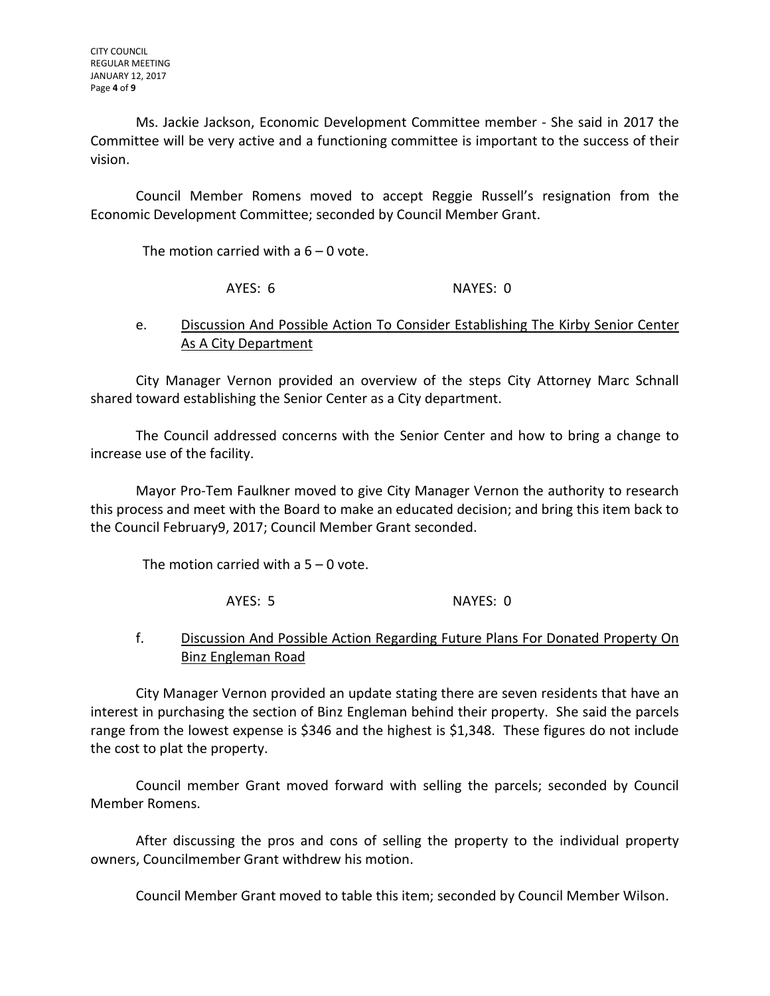Ms. Jackie Jackson, Economic Development Committee member - She said in 2017 the Committee will be very active and a functioning committee is important to the success of their vision.

Council Member Romens moved to accept Reggie Russell's resignation from the Economic Development Committee; seconded by Council Member Grant.

The motion carried with a  $6 - 0$  vote.

AYES: 6 NAYES: 0

# e. Discussion And Possible Action To Consider Establishing The Kirby Senior Center As A City Department

City Manager Vernon provided an overview of the steps City Attorney Marc Schnall shared toward establishing the Senior Center as a City department.

The Council addressed concerns with the Senior Center and how to bring a change to increase use of the facility.

Mayor Pro-Tem Faulkner moved to give City Manager Vernon the authority to research this process and meet with the Board to make an educated decision; and bring this item back to the Council February9, 2017; Council Member Grant seconded.

The motion carried with a 5 – 0 vote.

AYES: 5 NAYES: 0

# f. Discussion And Possible Action Regarding Future Plans For Donated Property On Binz Engleman Road

City Manager Vernon provided an update stating there are seven residents that have an interest in purchasing the section of Binz Engleman behind their property. She said the parcels range from the lowest expense is \$346 and the highest is \$1,348. These figures do not include the cost to plat the property.

Council member Grant moved forward with selling the parcels; seconded by Council Member Romens.

After discussing the pros and cons of selling the property to the individual property owners, Councilmember Grant withdrew his motion.

Council Member Grant moved to table this item; seconded by Council Member Wilson.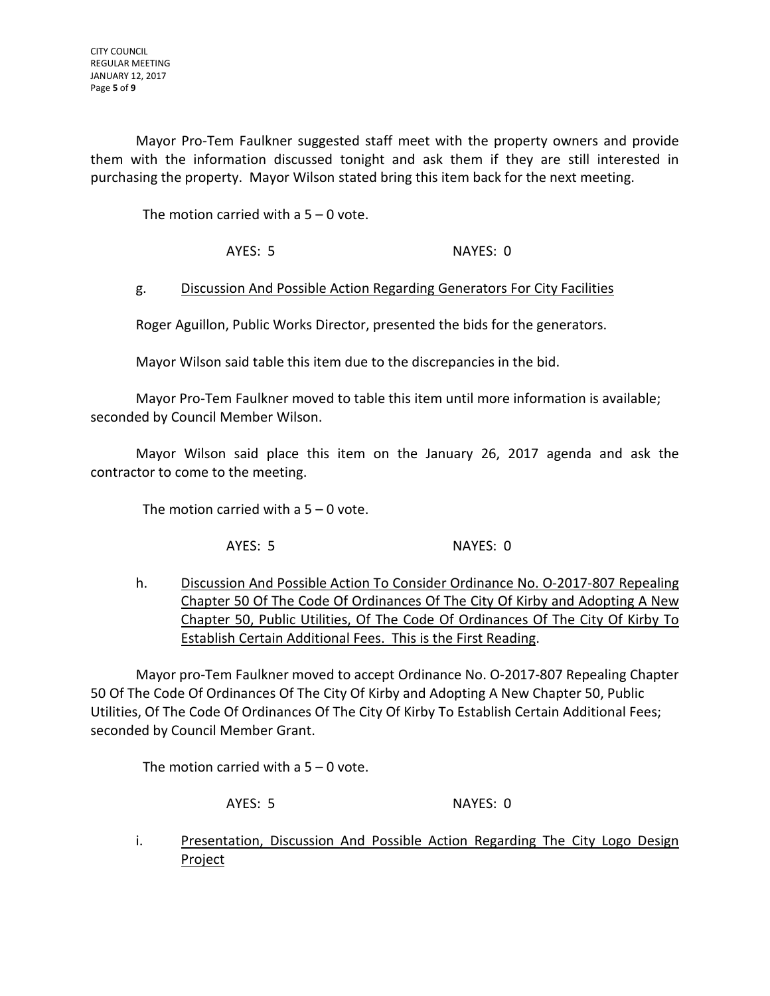Mayor Pro-Tem Faulkner suggested staff meet with the property owners and provide them with the information discussed tonight and ask them if they are still interested in purchasing the property. Mayor Wilson stated bring this item back for the next meeting.

The motion carried with a  $5 - 0$  vote.

AYES: 5 NAYES: 0

## g. Discussion And Possible Action Regarding Generators For City Facilities

Roger Aguillon, Public Works Director, presented the bids for the generators.

Mayor Wilson said table this item due to the discrepancies in the bid.

Mayor Pro-Tem Faulkner moved to table this item until more information is available; seconded by Council Member Wilson.

Mayor Wilson said place this item on the January 26, 2017 agenda and ask the contractor to come to the meeting.

The motion carried with a  $5 - 0$  vote.

AYES: 5 NAYES: 0

h. Discussion And Possible Action To Consider Ordinance No. O-2017-807 Repealing Chapter 50 Of The Code Of Ordinances Of The City Of Kirby and Adopting A New Chapter 50, Public Utilities, Of The Code Of Ordinances Of The City Of Kirby To Establish Certain Additional Fees. This is the First Reading.

Mayor pro-Tem Faulkner moved to accept Ordinance No. O-2017-807 Repealing Chapter 50 Of The Code Of Ordinances Of The City Of Kirby and Adopting A New Chapter 50, Public Utilities, Of The Code Of Ordinances Of The City Of Kirby To Establish Certain Additional Fees; seconded by Council Member Grant.

The motion carried with a  $5 - 0$  vote.

AYES: 5 NAYES: 0

i. Presentation, Discussion And Possible Action Regarding The City Logo Design Project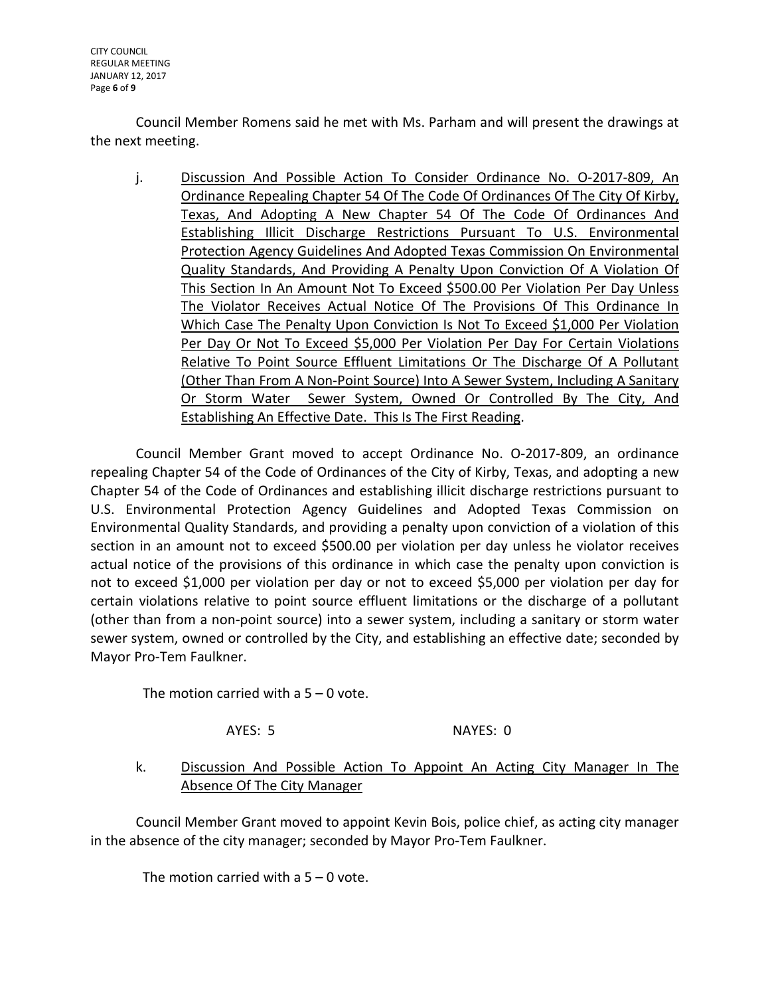CITY COUNCIL REGULAR MEETING JANUARY 12, 2017 Page **6** of **9**

Council Member Romens said he met with Ms. Parham and will present the drawings at the next meeting.

j. Discussion And Possible Action To Consider Ordinance No. O-2017-809, An Ordinance Repealing Chapter 54 Of The Code Of Ordinances Of The City Of Kirby, Texas, And Adopting A New Chapter 54 Of The Code Of Ordinances And Establishing Illicit Discharge Restrictions Pursuant To U.S. Environmental Protection Agency Guidelines And Adopted Texas Commission On Environmental Quality Standards, And Providing A Penalty Upon Conviction Of A Violation Of This Section In An Amount Not To Exceed \$500.00 Per Violation Per Day Unless The Violator Receives Actual Notice Of The Provisions Of This Ordinance In Which Case The Penalty Upon Conviction Is Not To Exceed \$1,000 Per Violation Per Day Or Not To Exceed \$5,000 Per Violation Per Day For Certain Violations Relative To Point Source Effluent Limitations Or The Discharge Of A Pollutant (Other Than From A Non-Point Source) Into A Sewer System, Including A Sanitary Or Storm Water Sewer System, Owned Or Controlled By The City, And Establishing An Effective Date. This Is The First Reading.

Council Member Grant moved to accept Ordinance No. O-2017-809, an ordinance repealing Chapter 54 of the Code of Ordinances of the City of Kirby, Texas, and adopting a new Chapter 54 of the Code of Ordinances and establishing illicit discharge restrictions pursuant to U.S. Environmental Protection Agency Guidelines and Adopted Texas Commission on Environmental Quality Standards, and providing a penalty upon conviction of a violation of this section in an amount not to exceed \$500.00 per violation per day unless he violator receives actual notice of the provisions of this ordinance in which case the penalty upon conviction is not to exceed \$1,000 per violation per day or not to exceed \$5,000 per violation per day for certain violations relative to point source effluent limitations or the discharge of a pollutant (other than from a non-point source) into a sewer system, including a sanitary or storm water sewer system, owned or controlled by the City, and establishing an effective date; seconded by Mayor Pro-Tem Faulkner.

The motion carried with a  $5 - 0$  vote.

AYES: 5 NAYES: 0

k. Discussion And Possible Action To Appoint An Acting City Manager In The Absence Of The City Manager

Council Member Grant moved to appoint Kevin Bois, police chief, as acting city manager in the absence of the city manager; seconded by Mayor Pro-Tem Faulkner.

The motion carried with a  $5 - 0$  vote.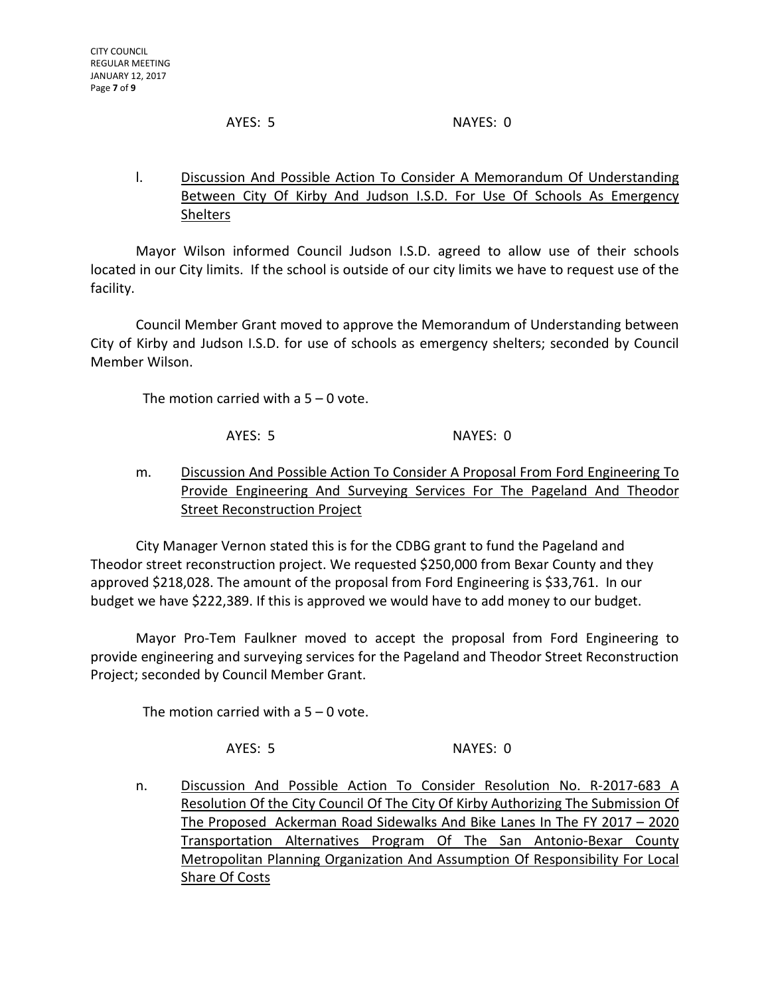AYES: 5 NAYES: 0

l. Discussion And Possible Action To Consider A Memorandum Of Understanding Between City Of Kirby And Judson I.S.D. For Use Of Schools As Emergency Shelters

Mayor Wilson informed Council Judson I.S.D. agreed to allow use of their schools located in our City limits. If the school is outside of our city limits we have to request use of the facility.

Council Member Grant moved to approve the Memorandum of Understanding between City of Kirby and Judson I.S.D. for use of schools as emergency shelters; seconded by Council Member Wilson.

The motion carried with a 5 – 0 vote.

AYES: 5 NAYES: 0

m. Discussion And Possible Action To Consider A Proposal From Ford Engineering To Provide Engineering And Surveying Services For The Pageland And Theodor Street Reconstruction Project

City Manager Vernon stated this is for the CDBG grant to fund the Pageland and Theodor street reconstruction project. We requested \$250,000 from Bexar County and they approved \$218,028. The amount of the proposal from Ford Engineering is \$33,761. In our budget we have \$222,389. If this is approved we would have to add money to our budget.

Mayor Pro-Tem Faulkner moved to accept the proposal from Ford Engineering to provide engineering and surveying services for the Pageland and Theodor Street Reconstruction Project; seconded by Council Member Grant.

The motion carried with a  $5 - 0$  vote.

AYES: 5 NAYES: 0

n. Discussion And Possible Action To Consider Resolution No. R-2017-683 A Resolution Of the City Council Of The City Of Kirby Authorizing The Submission Of The Proposed Ackerman Road Sidewalks And Bike Lanes In The FY 2017 - 2020 Transportation Alternatives Program Of The San Antonio-Bexar County Metropolitan Planning Organization And Assumption Of Responsibility For Local Share Of Costs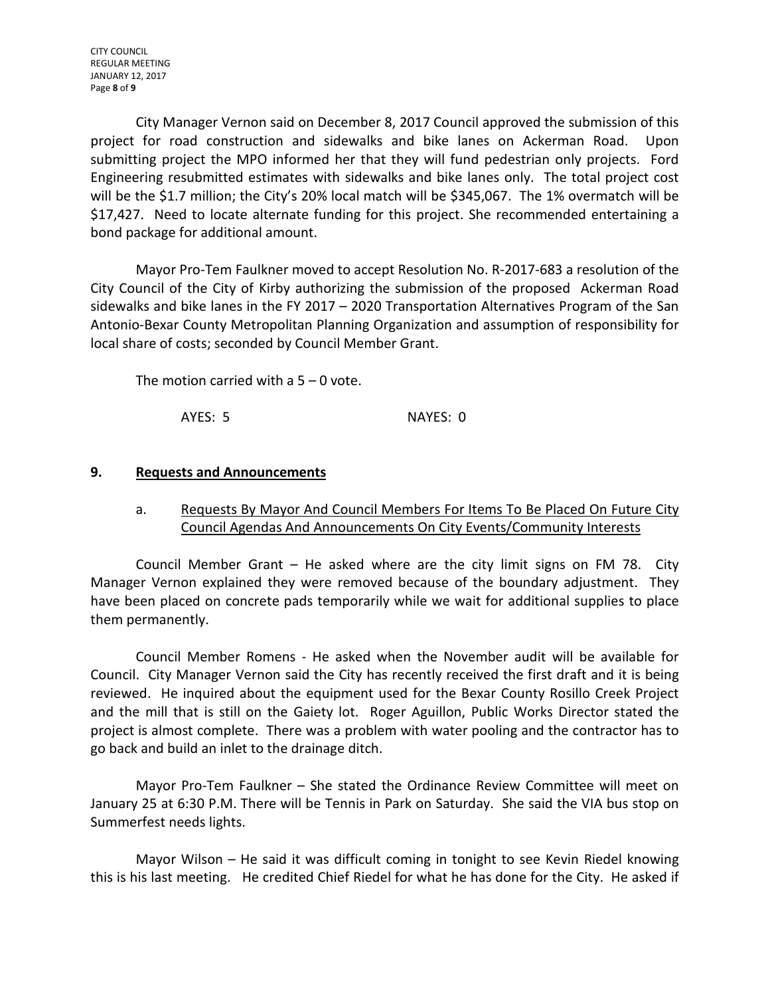CITY COUNCIL REGULAR MEETING JANUARY 12, 2017 Page **8** of **9**

City Manager Vernon said on December 8, 2017 Council approved the submission of this project for road construction and sidewalks and bike lanes on Ackerman Road. Upon submitting project the MPO informed her that they will fund pedestrian only projects. Ford Engineering resubmitted estimates with sidewalks and bike lanes only. The total project cost will be the \$1.7 million; the City's 20% local match will be \$345,067. The 1% overmatch will be \$17,427. Need to locate alternate funding for this project. She recommended entertaining a bond package for additional amount.

Mayor Pro-Tem Faulkner moved to accept Resolution No. R-2017-683 a resolution of the City Council of the City of Kirby authorizing the submission of the proposed Ackerman Road sidewalks and bike lanes in the FY 2017 – 2020 Transportation Alternatives Program of the San Antonio-Bexar County Metropolitan Planning Organization and assumption of responsibility for local share of costs; seconded by Council Member Grant.

The motion carried with a  $5 - 0$  vote.

AYES: 5 NAYES: 0

## **9. Requests and Announcements**

# a. Requests By Mayor And Council Members For Items To Be Placed On Future City Council Agendas And Announcements On City Events/Community Interests

Council Member Grant – He asked where are the city limit signs on FM 78. City Manager Vernon explained they were removed because of the boundary adjustment. They have been placed on concrete pads temporarily while we wait for additional supplies to place them permanently.

Council Member Romens - He asked when the November audit will be available for Council. City Manager Vernon said the City has recently received the first draft and it is being reviewed. He inquired about the equipment used for the Bexar County Rosillo Creek Project and the mill that is still on the Gaiety lot. Roger Aguillon, Public Works Director stated the project is almost complete. There was a problem with water pooling and the contractor has to go back and build an inlet to the drainage ditch.

Mayor Pro-Tem Faulkner – She stated the Ordinance Review Committee will meet on January 25 at 6:30 P.M. There will be Tennis in Park on Saturday. She said the VIA bus stop on Summerfest needs lights.

Mayor Wilson – He said it was difficult coming in tonight to see Kevin Riedel knowing this is his last meeting. He credited Chief Riedel for what he has done for the City. He asked if